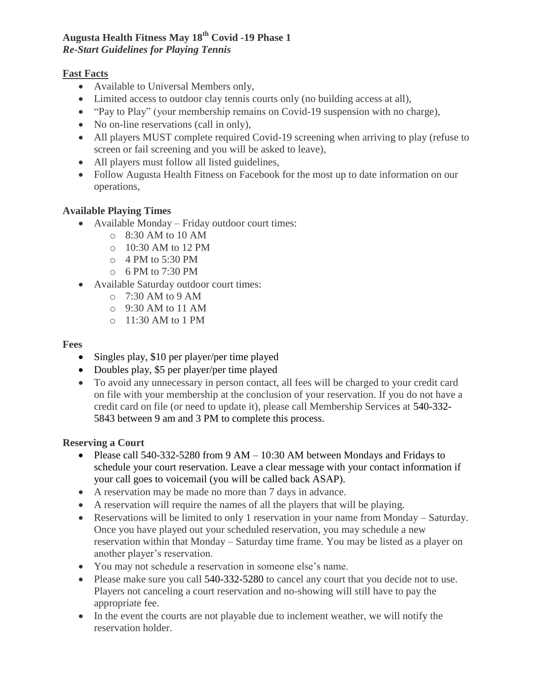# **Augusta Health Fitness May 18th Covid -19 Phase 1**  *Re-Start Guidelines for Playing Tennis*

# **Fast Facts**

- Available to Universal Members only,
- Limited access to outdoor clay tennis courts only (no building access at all),
- "Pay to Play" (your membership remains on Covid-19 suspension with no charge),
- No on-line reservations (call in only),
- All players MUST complete required Covid-19 screening when arriving to play (refuse to screen or fail screening and you will be asked to leave),
- All players must follow all listed guidelines,
- Follow Augusta Health Fitness on Facebook for the most up to date information on our operations,

# **Available Playing Times**

- Available Monday Friday outdoor court times:
	- o 8:30 AM to 10 AM
	- o 10:30 AM to 12 PM
	- o 4 PM to 5:30 PM
	- o 6 PM to 7:30 PM
- Available Saturday outdoor court times:
	- $\circ$  7:30 AM to 9 AM
	- o 9:30 AM to 11 AM
	- o 11:30 AM to 1 PM

#### **Fees**

- Singles play, \$10 per player/per time played
- Doubles play, \$5 per player/per time played
- To avoid any unnecessary in person contact, all fees will be charged to your credit card on file with your membership at the conclusion of your reservation. If you do not have a credit card on file (or need to update it), please call Membership Services at 540-332- 5843 between 9 am and 3 PM to complete this process.

### **Reserving a Court**

- Please call 540-332-5280 from 9 AM 10:30 AM between Mondays and Fridays to schedule your court reservation. Leave a clear message with your contact information if your call goes to voicemail (you will be called back ASAP).
- A reservation may be made no more than 7 days in advance.
- A reservation will require the names of all the players that will be playing.
- Reservations will be limited to only 1 reservation in your name from Monday Saturday. Once you have played out your scheduled reservation, you may schedule a new reservation within that Monday – Saturday time frame. You may be listed as a player on another player's reservation.
- You may not schedule a reservation in someone else's name.
- Please make sure you call 540-332-5280 to cancel any court that you decide not to use. Players not canceling a court reservation and no-showing will still have to pay the appropriate fee.
- In the event the courts are not playable due to inclement weather, we will notify the reservation holder.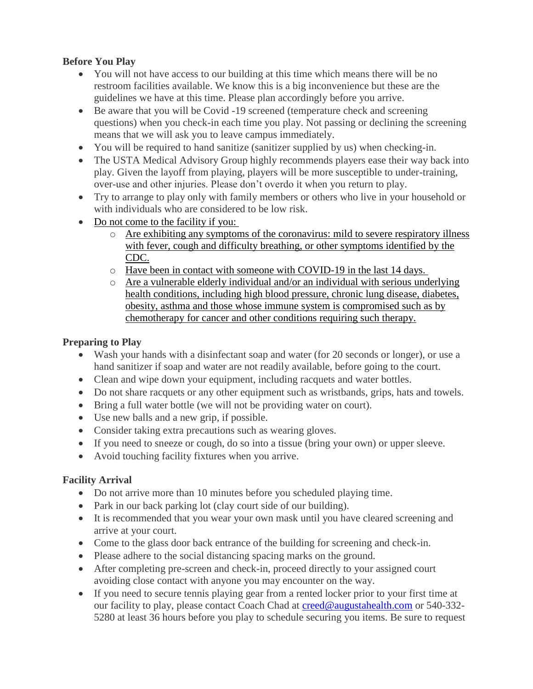# **Before You Play**

- You will not have access to our building at this time which means there will be no restroom facilities available. We know this is a big inconvenience but these are the guidelines we have at this time. Please plan accordingly before you arrive.
- Be aware that you will be Covid -19 screened (temperature check and screening questions) when you check-in each time you play. Not passing or declining the screening means that we will ask you to leave campus immediately.
- You will be required to hand sanitize (sanitizer supplied by us) when checking-in.
- The USTA Medical Advisory Group highly recommends players ease their way back into play. Given the layoff from playing, players will be more susceptible to under-training, over-use and other injuries. Please don't overdo it when you return to play.
- Try to arrange to play only with family members or others who live in your household or with individuals who are considered to be low risk.
- Do not come to the facility if you:
	- o Are exhibiting any symptoms of the coronavirus: mild to severe respiratory illness with fever, cough and difficulty breathing, or other symptoms identified by the CDC.
	- o Have been in contact with someone with COVID-19 in the last 14 days.
	- o Are a vulnerable elderly individual and/or an individual with serious underlying health conditions, including high blood pressure, chronic lung disease, diabetes, obesity, asthma and those whose immune system is compromised such as by chemotherapy for cancer and other conditions requiring such therapy.

### **Preparing to Play**

- Wash your hands with a disinfectant soap and water (for 20 seconds or longer), or use a hand sanitizer if soap and water are not readily available, before going to the court.
- Clean and wipe down your equipment, including racquets and water bottles.
- Do not share racquets or any other equipment such as wristbands, grips, hats and towels.
- Bring a full water bottle (we will not be providing water on court).
- Use new balls and a new grip, if possible.
- Consider taking extra precautions such as wearing gloves.
- If you need to sneeze or cough, do so into a tissue (bring your own) or upper sleeve.
- Avoid touching facility fixtures when you arrive.

### **Facility Arrival**

- Do not arrive more than 10 minutes before you scheduled playing time.
- Park in our back parking lot (clay court side of our building).
- It is recommended that you wear your own mask until you have cleared screening and arrive at your court.
- Come to the glass door back entrance of the building for screening and check-in.
- Please adhere to the social distancing spacing marks on the ground.
- After completing pre-screen and check-in, proceed directly to your assigned court avoiding close contact with anyone you may encounter on the way.
- If you need to secure tennis playing gear from a rented locker prior to your first time at our facility to play, please contact Coach Chad at [creed@augustahealth.com](mailto:creed@augustahealth.com) or 540-332- 5280 at least 36 hours before you play to schedule securing you items. Be sure to request